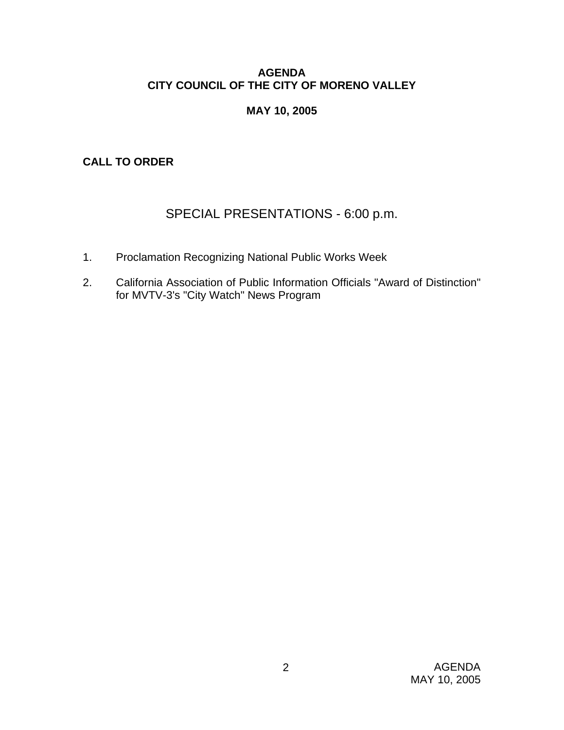# **AGENDA CITY COUNCIL OF THE CITY OF MORENO VALLEY**

# **MAY 10, 2005**

**CALL TO ORDER** 

# SPECIAL PRESENTATIONS - 6:00 p.m.

- 1. Proclamation Recognizing National Public Works Week
- 2. California Association of Public Information Officials "Award of Distinction" for MVTV-3's "City Watch" News Program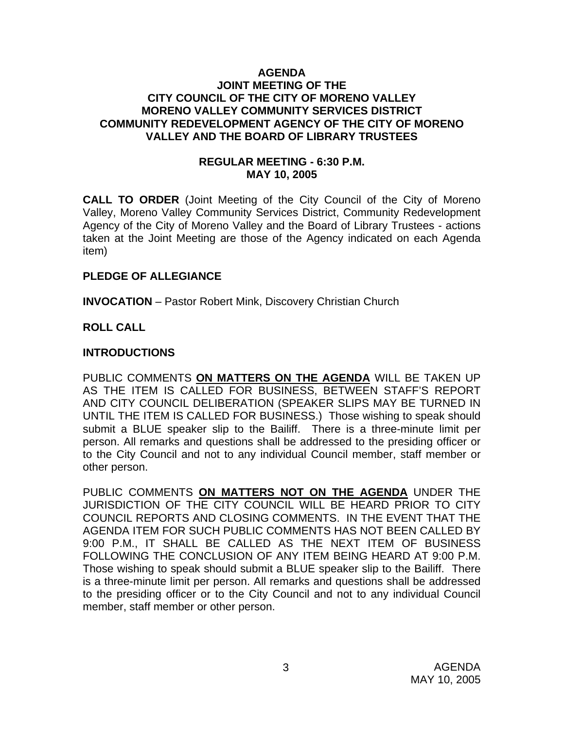### **AGENDA JOINT MEETING OF THE CITY COUNCIL OF THE CITY OF MORENO VALLEY MORENO VALLEY COMMUNITY SERVICES DISTRICT COMMUNITY REDEVELOPMENT AGENCY OF THE CITY OF MORENO VALLEY AND THE BOARD OF LIBRARY TRUSTEES**

### **REGULAR MEETING - 6:30 P.M. MAY 10, 2005**

**CALL TO ORDER** (Joint Meeting of the City Council of the City of Moreno Valley, Moreno Valley Community Services District, Community Redevelopment Agency of the City of Moreno Valley and the Board of Library Trustees - actions taken at the Joint Meeting are those of the Agency indicated on each Agenda item)

### **PLEDGE OF ALLEGIANCE**

**INVOCATION** – Pastor Robert Mink, Discovery Christian Church

# **ROLL CALL**

# **INTRODUCTIONS**

PUBLIC COMMENTS **ON MATTERS ON THE AGENDA** WILL BE TAKEN UP AS THE ITEM IS CALLED FOR BUSINESS, BETWEEN STAFF'S REPORT AND CITY COUNCIL DELIBERATION (SPEAKER SLIPS MAY BE TURNED IN UNTIL THE ITEM IS CALLED FOR BUSINESS.) Those wishing to speak should submit a BLUE speaker slip to the Bailiff. There is a three-minute limit per person. All remarks and questions shall be addressed to the presiding officer or to the City Council and not to any individual Council member, staff member or other person.

PUBLIC COMMENTS **ON MATTERS NOT ON THE AGENDA** UNDER THE JURISDICTION OF THE CITY COUNCIL WILL BE HEARD PRIOR TO CITY COUNCIL REPORTS AND CLOSING COMMENTS. IN THE EVENT THAT THE AGENDA ITEM FOR SUCH PUBLIC COMMENTS HAS NOT BEEN CALLED BY 9:00 P.M., IT SHALL BE CALLED AS THE NEXT ITEM OF BUSINESS FOLLOWING THE CONCLUSION OF ANY ITEM BEING HEARD AT 9:00 P.M. Those wishing to speak should submit a BLUE speaker slip to the Bailiff. There is a three-minute limit per person. All remarks and questions shall be addressed to the presiding officer or to the City Council and not to any individual Council member, staff member or other person.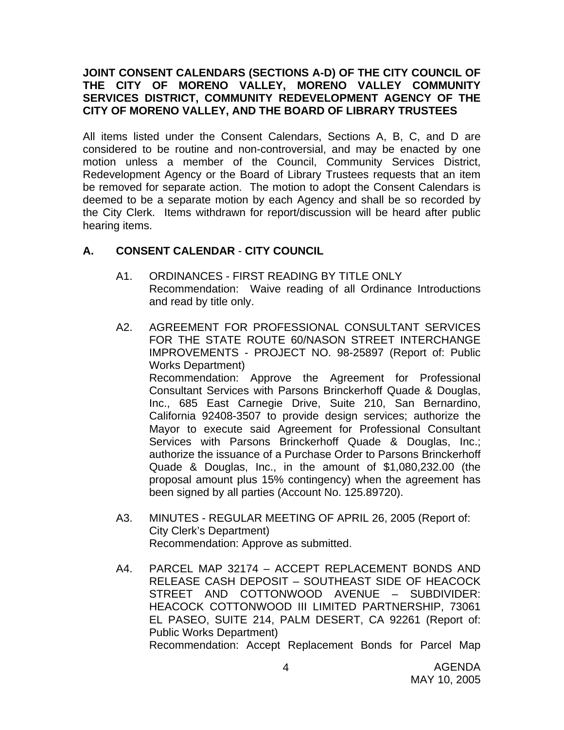### **JOINT CONSENT CALENDARS (SECTIONS A-D) OF THE CITY COUNCIL OF THE CITY OF MORENO VALLEY, MORENO VALLEY COMMUNITY SERVICES DISTRICT, COMMUNITY REDEVELOPMENT AGENCY OF THE CITY OF MORENO VALLEY, AND THE BOARD OF LIBRARY TRUSTEES**

All items listed under the Consent Calendars, Sections A, B, C, and D are considered to be routine and non-controversial, and may be enacted by one motion unless a member of the Council, Community Services District, Redevelopment Agency or the Board of Library Trustees requests that an item be removed for separate action. The motion to adopt the Consent Calendars is deemed to be a separate motion by each Agency and shall be so recorded by the City Clerk. Items withdrawn for report/discussion will be heard after public hearing items.

# **A. CONSENT CALENDAR** - **CITY COUNCIL**

- A1. ORDINANCES FIRST READING BY TITLE ONLY Recommendation: Waive reading of all Ordinance Introductions and read by title only.
- A2. AGREEMENT FOR PROFESSIONAL CONSULTANT SERVICES FOR THE STATE ROUTE 60/NASON STREET INTERCHANGE IMPROVEMENTS - PROJECT NO. 98-25897 (Report of: Public Works Department) Recommendation: Approve the Agreement for Professional Consultant Services with Parsons Brinckerhoff Quade & Douglas, Inc., 685 East Carnegie Drive, Suite 210, San Bernardino, California 92408-3507 to provide design services; authorize the Mayor to execute said Agreement for Professional Consultant Services with Parsons Brinckerhoff Quade & Douglas, Inc.; authorize the issuance of a Purchase Order to Parsons Brinckerhoff Quade & Douglas, Inc., in the amount of \$1,080,232.00 (the proposal amount plus 15% contingency) when the agreement has been signed by all parties (Account No. 125.89720).
- A3. MINUTES REGULAR MEETING OF APRIL 26, 2005 (Report of: City Clerk's Department) Recommendation: Approve as submitted.
- A4. PARCEL MAP 32174 ACCEPT REPLACEMENT BONDS AND RELEASE CASH DEPOSIT – SOUTHEAST SIDE OF HEACOCK STREET AND COTTONWOOD AVENUE – SUBDIVIDER: HEACOCK COTTONWOOD III LIMITED PARTNERSHIP, 73061 EL PASEO, SUITE 214, PALM DESERT, CA 92261 (Report of: Public Works Department) Recommendation: Accept Replacement Bonds for Parcel Map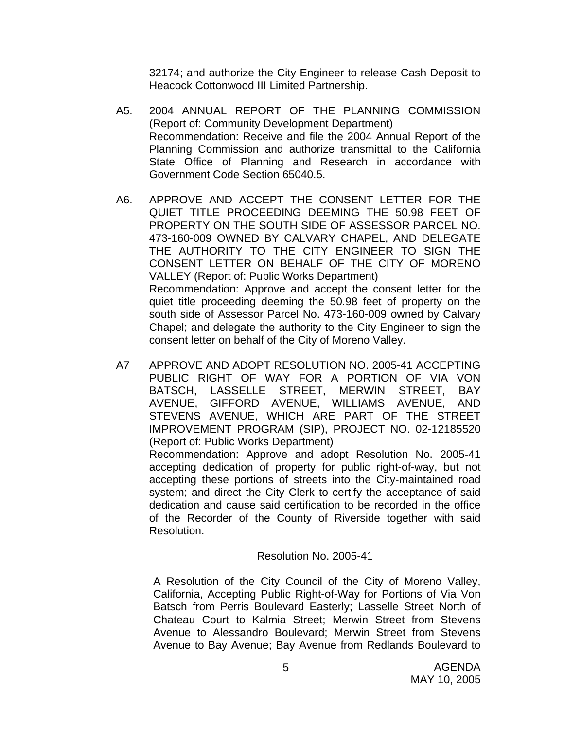32174; and authorize the City Engineer to release Cash Deposit to Heacock Cottonwood III Limited Partnership.

- A5. 2004 ANNUAL REPORT OF THE PLANNING COMMISSION (Report of: Community Development Department) Recommendation: Receive and file the 2004 Annual Report of the Planning Commission and authorize transmittal to the California State Office of Planning and Research in accordance with Government Code Section 65040.5.
- A6. APPROVE AND ACCEPT THE CONSENT LETTER FOR THE QUIET TITLE PROCEEDING DEEMING THE 50.98 FEET OF PROPERTY ON THE SOUTH SIDE OF ASSESSOR PARCEL NO. 473-160-009 OWNED BY CALVARY CHAPEL, AND DELEGATE THE AUTHORITY TO THE CITY ENGINEER TO SIGN THE CONSENT LETTER ON BEHALF OF THE CITY OF MORENO VALLEY (Report of: Public Works Department) Recommendation: Approve and accept the consent letter for the quiet title proceeding deeming the 50.98 feet of property on the south side of Assessor Parcel No. 473-160-009 owned by Calvary Chapel; and delegate the authority to the City Engineer to sign the consent letter on behalf of the City of Moreno Valley.
- A7 APPROVE AND ADOPT RESOLUTION NO. 2005-41 ACCEPTING PUBLIC RIGHT OF WAY FOR A PORTION OF VIA VON BATSCH, LASSELLE STREET, MERWIN STREET, BAY AVENUE, GIFFORD AVENUE, WILLIAMS AVENUE, AND STEVENS AVENUE, WHICH ARE PART OF THE STREET IMPROVEMENT PROGRAM (SIP), PROJECT NO. 02-12185520 (Report of: Public Works Department)

Recommendation: Approve and adopt Resolution No. 2005-41 accepting dedication of property for public right-of-way, but not accepting these portions of streets into the City-maintained road system; and direct the City Clerk to certify the acceptance of said dedication and cause said certification to be recorded in the office of the Recorder of the County of Riverside together with said Resolution.

### Resolution No. 2005-41

A Resolution of the City Council of the City of Moreno Valley, California, Accepting Public Right-of-Way for Portions of Via Von Batsch from Perris Boulevard Easterly; Lasselle Street North of Chateau Court to Kalmia Street; Merwin Street from Stevens Avenue to Alessandro Boulevard; Merwin Street from Stevens Avenue to Bay Avenue; Bay Avenue from Redlands Boulevard to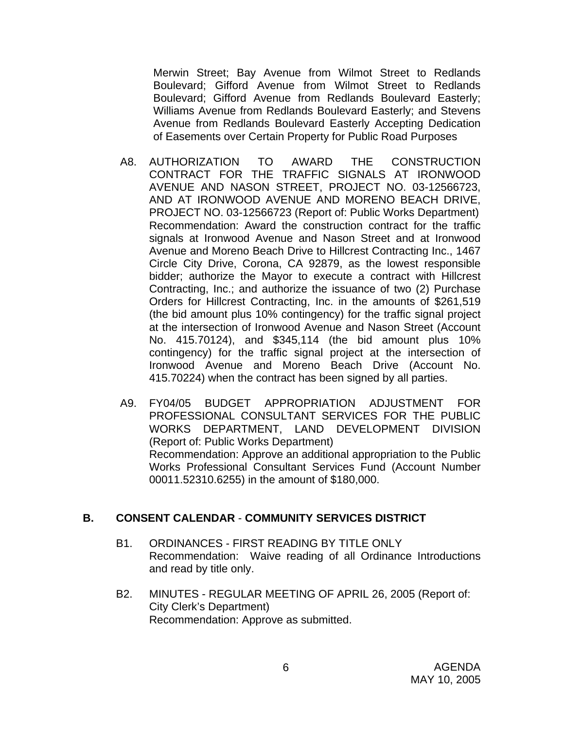Merwin Street; Bay Avenue from Wilmot Street to Redlands Boulevard; Gifford Avenue from Wilmot Street to Redlands Boulevard; Gifford Avenue from Redlands Boulevard Easterly; Williams Avenue from Redlands Boulevard Easterly; and Stevens Avenue from Redlands Boulevard Easterly Accepting Dedication of Easements over Certain Property for Public Road Purposes

- A8. AUTHORIZATION TO AWARD THE CONSTRUCTION CONTRACT FOR THE TRAFFIC SIGNALS AT IRONWOOD AVENUE AND NASON STREET, PROJECT NO. 03-12566723, AND AT IRONWOOD AVENUE AND MORENO BEACH DRIVE, PROJECT NO. 03-12566723 (Report of: Public Works Department) Recommendation: Award the construction contract for the traffic signals at Ironwood Avenue and Nason Street and at Ironwood Avenue and Moreno Beach Drive to Hillcrest Contracting Inc., 1467 Circle City Drive, Corona, CA 92879, as the lowest responsible bidder; authorize the Mayor to execute a contract with Hillcrest Contracting, Inc.; and authorize the issuance of two (2) Purchase Orders for Hillcrest Contracting, Inc. in the amounts of \$261,519 (the bid amount plus 10% contingency) for the traffic signal project at the intersection of Ironwood Avenue and Nason Street (Account No. 415.70124), and \$345,114 (the bid amount plus 10% contingency) for the traffic signal project at the intersection of Ironwood Avenue and Moreno Beach Drive (Account No. 415.70224) when the contract has been signed by all parties.
- A9. FY04/05 BUDGET APPROPRIATION ADJUSTMENT FOR PROFESSIONAL CONSULTANT SERVICES FOR THE PUBLIC WORKS DEPARTMENT, LAND DEVELOPMENT DIVISION (Report of: Public Works Department) Recommendation: Approve an additional appropriation to the Public Works Professional Consultant Services Fund (Account Number 00011.52310.6255) in the amount of \$180,000.

### **B. CONSENT CALENDAR** - **COMMUNITY SERVICES DISTRICT**

- B1. ORDINANCES FIRST READING BY TITLE ONLY Recommendation: Waive reading of all Ordinance Introductions and read by title only.
- B2. MINUTES REGULAR MEETING OF APRIL 26, 2005 (Report of: City Clerk's Department) Recommendation: Approve as submitted.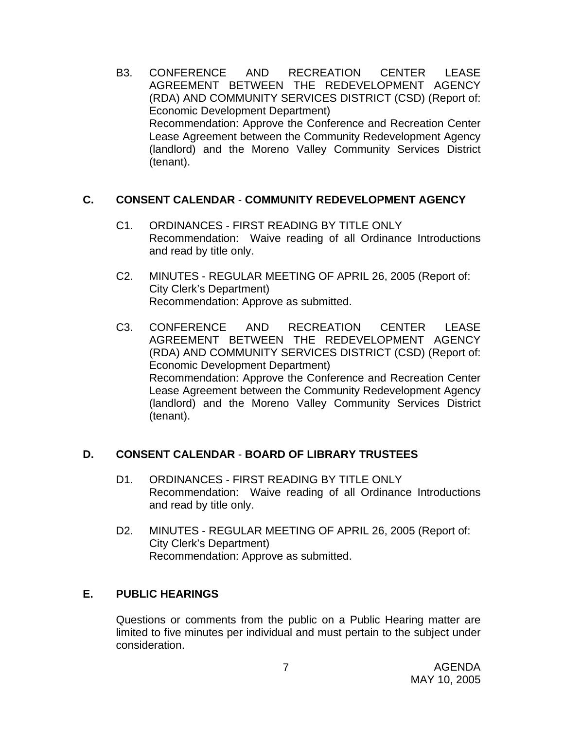B3. CONFERENCE AND RECREATION CENTER LEASE AGREEMENT BETWEEN THE REDEVELOPMENT AGENCY (RDA) AND COMMUNITY SERVICES DISTRICT (CSD) (Report of: Economic Development Department) Recommendation: Approve the Conference and Recreation Center Lease Agreement between the Community Redevelopment Agency (landlord) and the Moreno Valley Community Services District (tenant).

# **C. CONSENT CALENDAR** - **COMMUNITY REDEVELOPMENT AGENCY**

- C1. ORDINANCES FIRST READING BY TITLE ONLY Recommendation: Waive reading of all Ordinance Introductions and read by title only.
- C2. MINUTES REGULAR MEETING OF APRIL 26, 2005 (Report of: City Clerk's Department) Recommendation: Approve as submitted.
- C3. CONFERENCE AND RECREATION CENTER LEASE AGREEMENT BETWEEN THE REDEVELOPMENT AGENCY (RDA) AND COMMUNITY SERVICES DISTRICT (CSD) (Report of: Economic Development Department) Recommendation: Approve the Conference and Recreation Center Lease Agreement between the Community Redevelopment Agency (landlord) and the Moreno Valley Community Services District (tenant).

# **D. CONSENT CALENDAR** - **BOARD OF LIBRARY TRUSTEES**

- D1. ORDINANCES FIRST READING BY TITLE ONLY Recommendation: Waive reading of all Ordinance Introductions and read by title only.
- D2. MINUTES REGULAR MEETING OF APRIL 26, 2005 (Report of: City Clerk's Department) Recommendation: Approve as submitted.

# **E. PUBLIC HEARINGS**

Questions or comments from the public on a Public Hearing matter are limited to five minutes per individual and must pertain to the subject under consideration.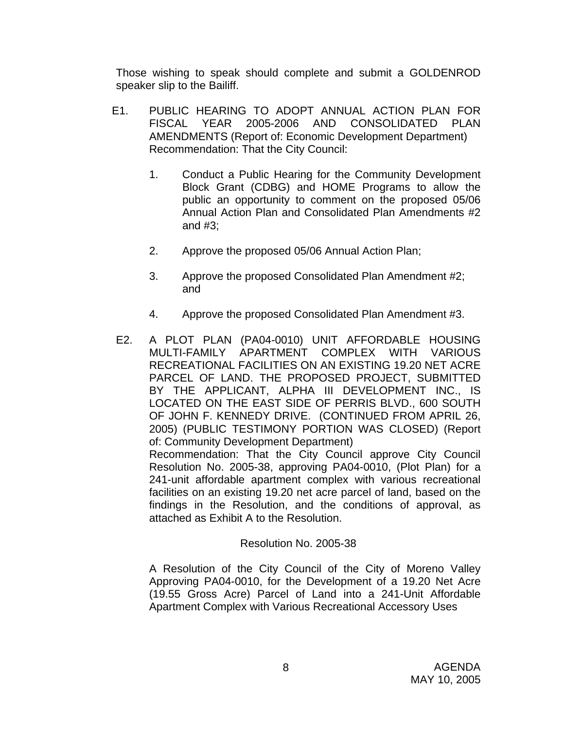Those wishing to speak should complete and submit a GOLDENROD speaker slip to the Bailiff.

- E1. PUBLIC HEARING TO ADOPT ANNUAL ACTION PLAN FOR FISCAL YEAR 2005-2006 AND CONSOLIDATED PLAN AMENDMENTS (Report of: Economic Development Department) Recommendation: That the City Council:
	- 1. Conduct a Public Hearing for the Community Development Block Grant (CDBG) and HOME Programs to allow the public an opportunity to comment on the proposed 05/06 Annual Action Plan and Consolidated Plan Amendments #2 and #3;
	- 2. Approve the proposed 05/06 Annual Action Plan;
	- 3. Approve the proposed Consolidated Plan Amendment #2; and
	- 4. Approve the proposed Consolidated Plan Amendment #3.
- E2. A PLOT PLAN (PA04-0010) UNIT AFFORDABLE HOUSING MULTI-FAMILY APARTMENT COMPLEX WITH VARIOUS RECREATIONAL FACILITIES ON AN EXISTING 19.20 NET ACRE PARCEL OF LAND. THE PROPOSED PROJECT, SUBMITTED BY THE APPLICANT, ALPHA III DEVELOPMENT INC., IS LOCATED ON THE EAST SIDE OF PERRIS BLVD., 600 SOUTH OF JOHN F. KENNEDY DRIVE. (CONTINUED FROM APRIL 26, 2005) (PUBLIC TESTIMONY PORTION WAS CLOSED) (Report of: Community Development Department) Recommendation: That the City Council approve City Council Resolution No. 2005-38, approving PA04-0010, (Plot Plan) for a 241-unit affordable apartment complex with various recreational facilities on an existing 19.20 net acre parcel of land, based on the findings in the Resolution, and the conditions of approval, as

### Resolution No. 2005-38

attached as Exhibit A to the Resolution.

A Resolution of the City Council of the City of Moreno Valley Approving PA04-0010, for the Development of a 19.20 Net Acre (19.55 Gross Acre) Parcel of Land into a 241-Unit Affordable Apartment Complex with Various Recreational Accessory Uses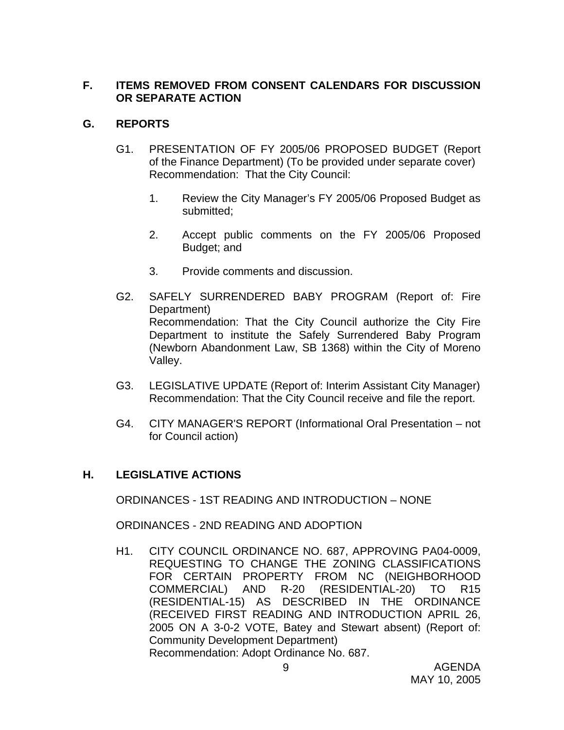# **F. ITEMS REMOVED FROM CONSENT CALENDARS FOR DISCUSSION OR SEPARATE ACTION**

# **G. REPORTS**

- G1. PRESENTATION OF FY 2005/06 PROPOSED BUDGET (Report of the Finance Department) (To be provided under separate cover) Recommendation: That the City Council:
	- 1. Review the City Manager's FY 2005/06 Proposed Budget as submitted;
	- 2. Accept public comments on the FY 2005/06 Proposed Budget; and
	- 3. Provide comments and discussion.
- G2. SAFELY SURRENDERED BABY PROGRAM (Report of: Fire Department) Recommendation: That the City Council authorize the City Fire Department to institute the Safely Surrendered Baby Program (Newborn Abandonment Law, SB 1368) within the City of Moreno Valley.
- G3. LEGISLATIVE UPDATE (Report of: Interim Assistant City Manager) Recommendation: That the City Council receive and file the report.
- G4. CITY MANAGER'S REPORT (Informational Oral Presentation not for Council action)

# **H. LEGISLATIVE ACTIONS**

ORDINANCES - 1ST READING AND INTRODUCTION – NONE

ORDINANCES - 2ND READING AND ADOPTION

H1. CITY COUNCIL ORDINANCE NO. 687, APPROVING PA04-0009, REQUESTING TO CHANGE THE ZONING CLASSIFICATIONS FOR CERTAIN PROPERTY FROM NC (NEIGHBORHOOD COMMERCIAL) AND R-20 (RESIDENTIAL-20) TO R15 (RESIDENTIAL-15) AS DESCRIBED IN THE ORDINANCE (RECEIVED FIRST READING AND INTRODUCTION APRIL 26, 2005 ON A 3-0-2 VOTE, Batey and Stewart absent) (Report of: Community Development Department) Recommendation: Adopt Ordinance No. 687.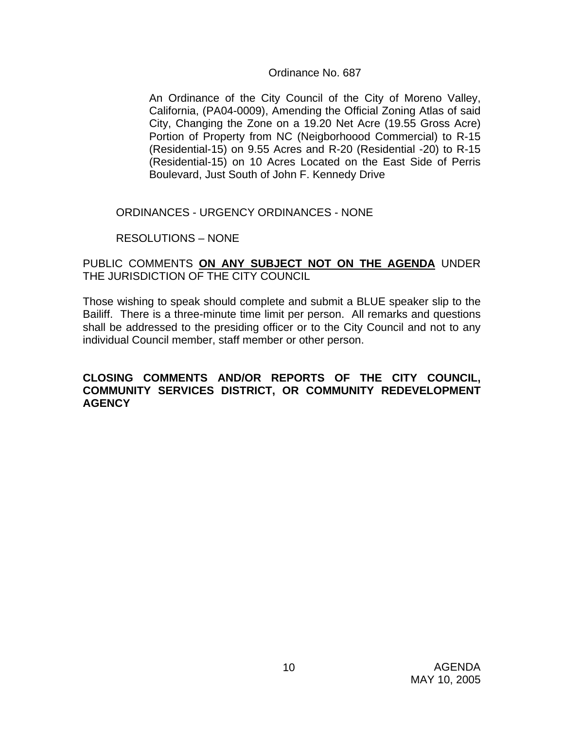### Ordinance No. 687

An Ordinance of the City Council of the City of Moreno Valley, California, (PA04-0009), Amending the Official Zoning Atlas of said City, Changing the Zone on a 19.20 Net Acre (19.55 Gross Acre) Portion of Property from NC (Neigborhoood Commercial) to R-15 (Residential-15) on 9.55 Acres and R-20 (Residential -20) to R-15 (Residential-15) on 10 Acres Located on the East Side of Perris Boulevard, Just South of John F. Kennedy Drive

ORDINANCES - URGENCY ORDINANCES - NONE

RESOLUTIONS – NONE

### PUBLIC COMMENTS **ON ANY SUBJECT NOT ON THE AGENDA** UNDER THE JURISDICTION OF THE CITY COUNCIL

Those wishing to speak should complete and submit a BLUE speaker slip to the Bailiff. There is a three-minute time limit per person. All remarks and questions shall be addressed to the presiding officer or to the City Council and not to any individual Council member, staff member or other person.

### **CLOSING COMMENTS AND/OR REPORTS OF THE CITY COUNCIL, COMMUNITY SERVICES DISTRICT, OR COMMUNITY REDEVELOPMENT AGENCY**